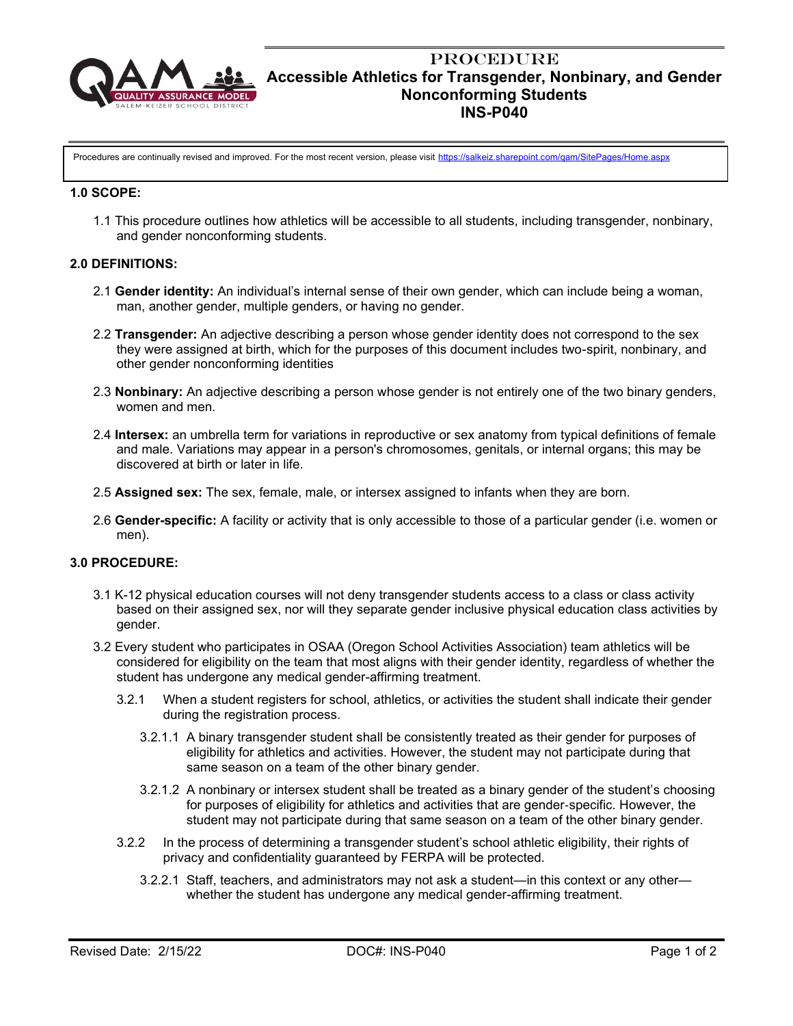

## **PROCEDURE Accessible Athletics for Transgender, Nonbinary, and Gender Nonconforming Students INS-P040**

Procedures are continually revised and improved. For the most recent version, please visit <https://salkeiz.sharepoint.com/qam/SitePages/Home.aspx>

#### **1.0 SCOPE:**

1.1 This procedure outlines how athletics will be accessible to all students, including transgender, nonbinary, and gender nonconforming students.

### **2.0 DEFINITIONS:**

- 2.1 **Gender identity:** An individual's internal sense of their own gender, which can include being a woman, man, another gender, multiple genders, or having no gender.
- 2.2 **Transgender:** An adjective describing a person whose gender identity does not correspond to the sex they were assigned at birth, which for the purposes of this document includes two-spirit, nonbinary, and other gender nonconforming identities
- 2.3 **Nonbinary:** An adjective describing a person whose gender is not entirely one of the two binary genders, women and men.
- 2.4 **Intersex:** an umbrella term for variations in reproductive or sex anatomy from typical definitions of female and male. Variations may appear in a person's chromosomes, genitals, or internal organs; this may be discovered at birth or later in life.
- 2.5 **Assigned sex:** The sex, female, male, or intersex assigned to infants when they are born.
- 2.6 **Gender-specific:** A facility or activity that is only accessible to those of a particular gender (i.e. women or men).

### **3.0 PROCEDURE:**

- 3.1 K-12 physical education courses will not deny transgender students access to a class or class activity based on their assigned sex, nor will they separate gender inclusive physical education class activities by gender.
- 3.2 Every student who participates in OSAA (Oregon School Activities Association) team athletics will be considered for eligibility on the team that most aligns with their gender identity, regardless of whether the student has undergone any medical gender-affirming treatment.
	- 3.2.1 When a student registers for school, athletics, or activities the student shall indicate their gender during the registration process.
		- 3.2.1.1 A binary transgender student shall be consistently treated as their gender for purposes of eligibility for athletics and activities. However, the student may not participate during that same season on a team of the other binary gender.
		- 3.2.1.2 A nonbinary or intersex student shall be treated as a binary gender of the student's choosing for purposes of eligibility for athletics and activities that are gender‐specific. However, the student may not participate during that same season on a team of the other binary gender.
	- 3.2.2 In the process of determining a transgender student's school athletic eligibility, their rights of privacy and confidentiality guaranteed by FERPA will be protected.
		- 3.2.2.1 Staff, teachers, and administrators may not ask a student—in this context or any other whether the student has undergone any medical gender-affirming treatment.